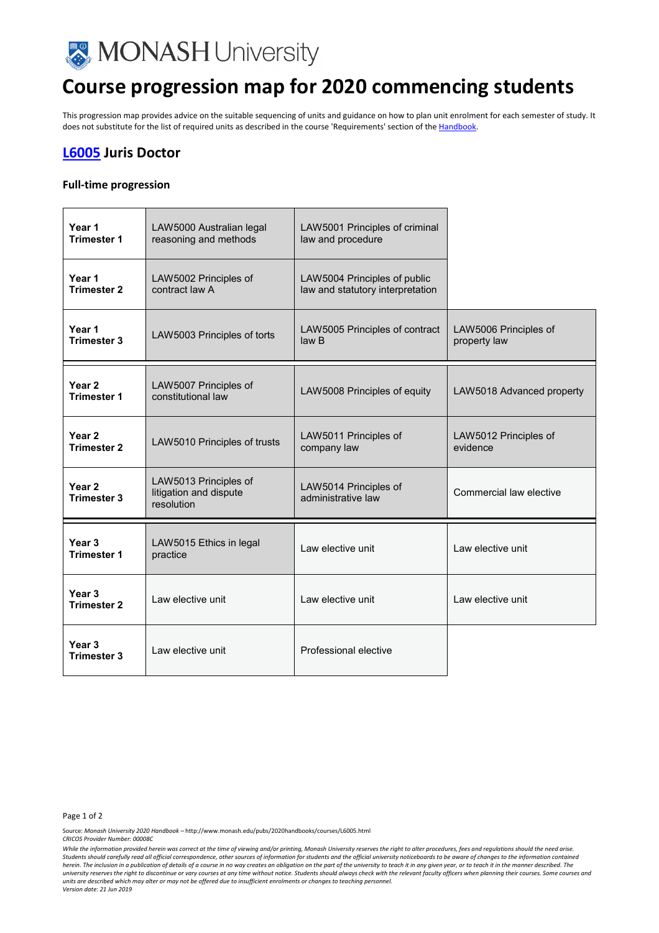

# **Course progression map for 2020 commencing students**

This progression map provides advice on the suitable sequencing of units and guidance on how to plan unit enrolment for each semester of study. It does not substitute for the list of required units as described in the course 'Requirements' section of th[e Handbook.](http://www.monash.edu.au/pubs/2020handbooks/)

## **[L6005](http://www.monash.edu.au/pubs/2020handbooks/courses/L6005.html) Juris Doctor**

### **Full-time progression**

| Year 1<br><b>Trimester 1</b>            | LAW5000 Australian legal<br>reasoning and methods             | LAW5001 Principles of criminal<br>law and procedure              |                                       |
|-----------------------------------------|---------------------------------------------------------------|------------------------------------------------------------------|---------------------------------------|
| Year 1<br><b>Trimester 2</b>            | LAW5002 Principles of<br>contract law A                       | LAW5004 Principles of public<br>law and statutory interpretation |                                       |
| Year 1<br><b>Trimester 3</b>            | LAW5003 Principles of torts                                   | LAW5005 Principles of contract<br>law <sub>B</sub>               | LAW5006 Principles of<br>property law |
| Year <sub>2</sub><br><b>Trimester 1</b> | LAW5007 Principles of<br>constitutional law                   | LAW5008 Principles of equity                                     | LAW5018 Advanced property             |
| Year <sub>2</sub><br><b>Trimester 2</b> | LAW5010 Principles of trusts                                  | LAW5011 Principles of<br>company law                             | LAW5012 Principles of<br>evidence     |
| Year <sub>2</sub><br><b>Trimester 3</b> | LAW5013 Principles of<br>litigation and dispute<br>resolution | LAW5014 Principles of<br>administrative law                      | Commercial law elective               |
| Year 3<br><b>Trimester 1</b>            | LAW5015 Ethics in legal<br>practice                           | Law elective unit                                                | Law elective unit                     |
| Year <sub>3</sub><br><b>Trimester 2</b> | Law elective unit                                             | Law elective unit                                                | Law elective unit                     |
| Year <sub>3</sub><br><b>Trimester 3</b> | Law elective unit                                             | Professional elective                                            |                                       |

#### Page 1 of 2

Source: *Monash University 2020 Handbook –* http://www.monash.edu/pubs/2020handbooks/courses/L6005.html *CRICOS Provider Number: 00008C*

*While the information provided herein was correct at the time of viewing and/or printing, Monash University reserves the right to alter procedures, fees and regulations should the need arise.*  Students should carefully read all official correspondence, other sources of information for students and the official university noticeboards to be aware of changes to the information contained *herein. The inclusion in a publication of details of a course in no way creates an obligation on the part of the university to teach it in any given year, or to teach it in the manner described. The university reserves the right to discontinue or vary courses at any time without notice. Students should always check with the relevant faculty officers when planning their courses. Some courses and units are described which may alter or may not be offered due to insufficient enrolments or changes to teaching personnel.*